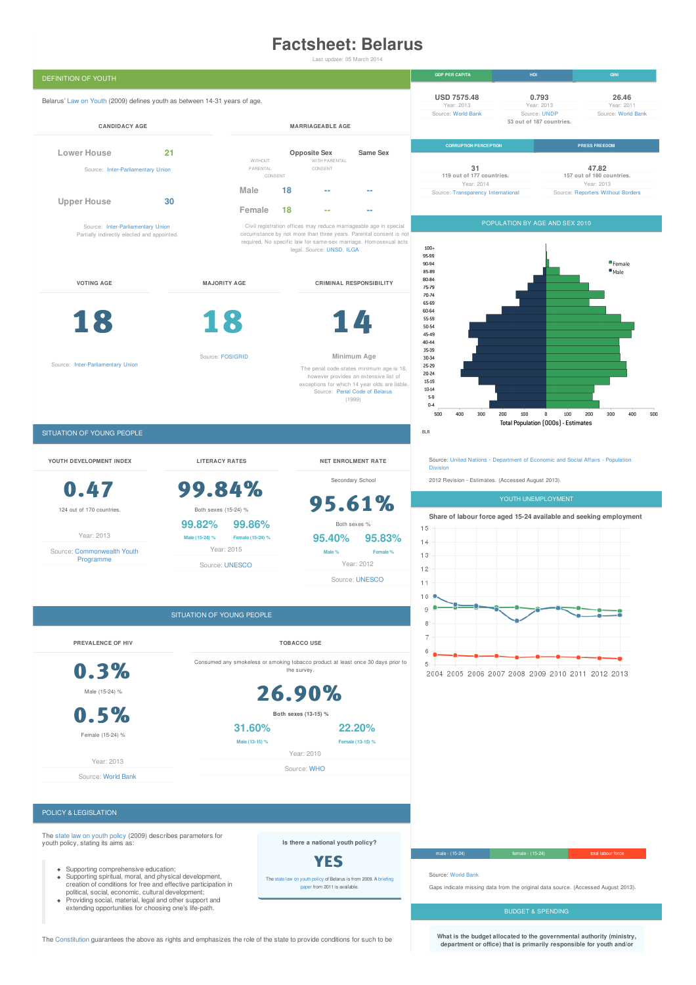# **Factsheet: Belarus**

Last update: 05 March 2014



The [Constitution](http://www.belarus.net/costitut/constitution_e.htm) guarantees the above as rights and emphasizes the role of the state to provide conditions for such to be

**What is the budget allocated to the governmental authority (ministry, department or office) that is primarily responsible for youth and/or**